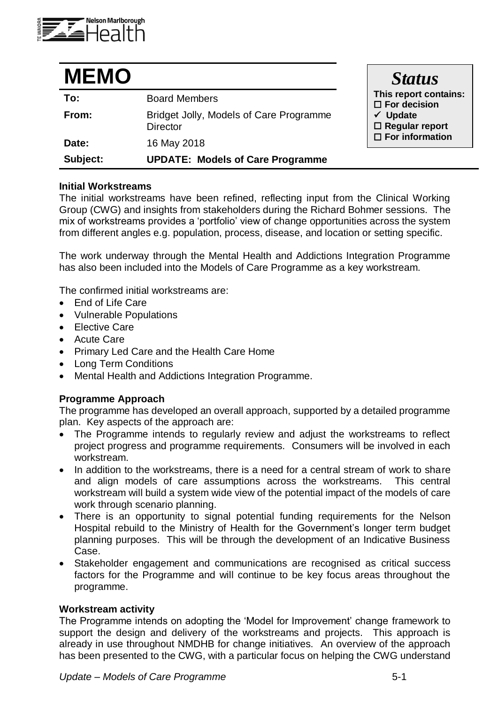

| <b>MEMO</b> |                                                            | <b>Status</b>                                   |
|-------------|------------------------------------------------------------|-------------------------------------------------|
| To:         | <b>Board Members</b>                                       | This report contains:<br>$\square$ For decision |
| From:       | Bridget Jolly, Models of Care Programme<br><b>Director</b> | $\checkmark$ Update<br>$\Box$ Regular report    |
| Date:       | 16 May 2018                                                | $\Box$ For information                          |
| Subject:    | <b>UPDATE: Models of Care Programme</b>                    |                                                 |

### **Initial Workstreams**

The initial workstreams have been refined, reflecting input from the Clinical Working Group (CWG) and insights from stakeholders during the Richard Bohmer sessions. The mix of workstreams provides a 'portfolio' view of change opportunities across the system from different angles e.g. population, process, disease, and location or setting specific.

The work underway through the Mental Health and Addictions Integration Programme has also been included into the Models of Care Programme as a key workstream.

The confirmed initial workstreams are:

- End of Life Care
- Vulnerable Populations
- **•** Elective Care
- Acute Care
- Primary Led Care and the Health Care Home
- Long Term Conditions
- Mental Health and Addictions Integration Programme.

#### **Programme Approach**

The programme has developed an overall approach, supported by a detailed programme plan. Key aspects of the approach are:

- The Programme intends to regularly review and adjust the workstreams to reflect project progress and programme requirements. Consumers will be involved in each workstream.
- In addition to the workstreams, there is a need for a central stream of work to share and align models of care assumptions across the workstreams. This central workstream will build a system wide view of the potential impact of the models of care work through scenario planning.
- There is an opportunity to signal potential funding requirements for the Nelson Hospital rebuild to the Ministry of Health for the Government's longer term budget planning purposes. This will be through the development of an Indicative Business Case.
- Stakeholder engagement and communications are recognised as critical success factors for the Programme and will continue to be key focus areas throughout the programme.

#### **Workstream activity**

The Programme intends on adopting the 'Model for Improvement' change framework to support the design and delivery of the workstreams and projects. This approach is already in use throughout NMDHB for change initiatives. An overview of the approach has been presented to the CWG, with a particular focus on helping the CWG understand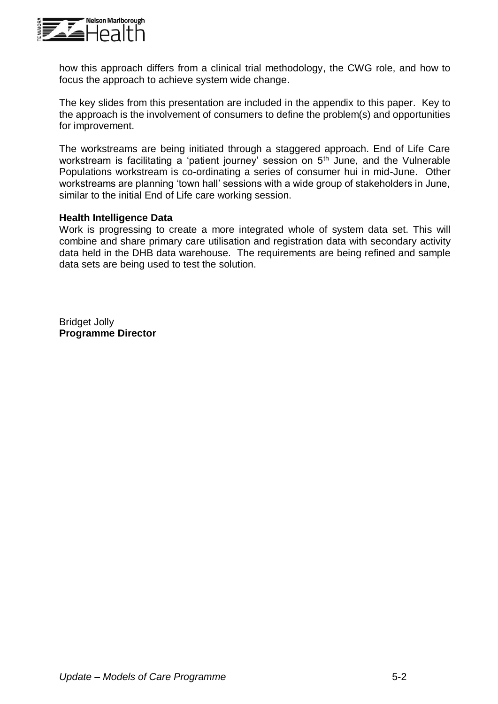

how this approach differs from a clinical trial methodology, the CWG role, and how to focus the approach to achieve system wide change.

The key slides from this presentation are included in the appendix to this paper. Key to the approach is the involvement of consumers to define the problem(s) and opportunities for improvement.

The workstreams are being initiated through a staggered approach. End of Life Care workstream is facilitating a 'patient journey' session on 5<sup>th</sup> June, and the Vulnerable Populations workstream is co-ordinating a series of consumer hui in mid-June. Other workstreams are planning 'town hall' sessions with a wide group of stakeholders in June, similar to the initial End of Life care working session.

## **Health Intelligence Data**

Work is progressing to create a more integrated whole of system data set. This will combine and share primary care utilisation and registration data with secondary activity data held in the DHB data warehouse. The requirements are being refined and sample data sets are being used to test the solution.

Bridget Jolly **Programme Director**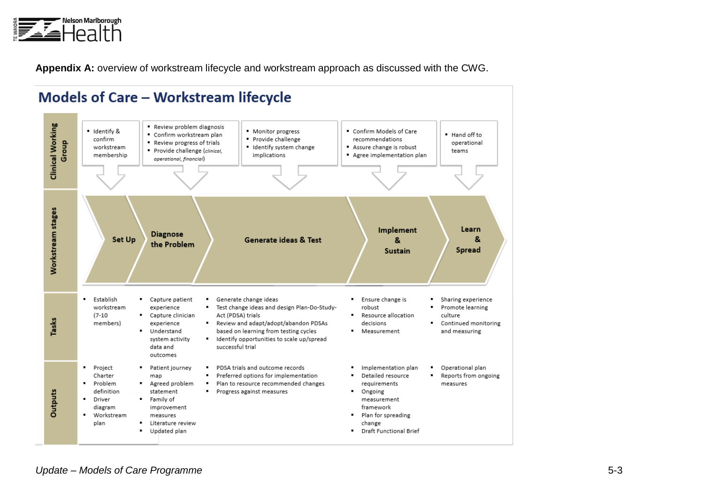

**Appendix A:** overview of workstream lifecycle and workstream approach as discussed with the CWG.